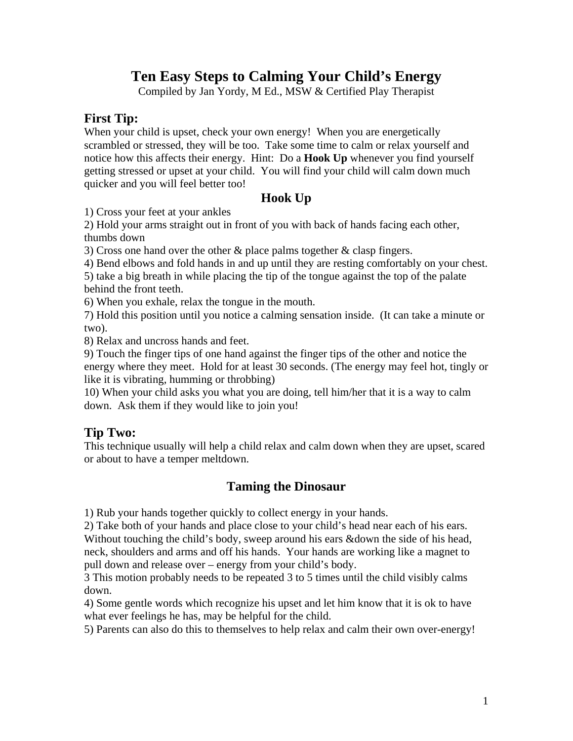# **Ten Easy Steps to Calming Your Child's Energy**

Compiled by Jan Yordy, M Ed., MSW & Certified Play Therapist

### **First Tip:**

When your child is upset, check your own energy! When you are energetically scrambled or stressed, they will be too. Take some time to calm or relax yourself and notice how this affects their energy. Hint: Do a **Hook Up** whenever you find yourself getting stressed or upset at your child. You will find your child will calm down much quicker and you will feel better too!

### **Hook Up**

1) Cross your feet at your ankles

2) Hold your arms straight out in front of you with back of hands facing each other, thumbs down

3) Cross one hand over the other  $\&$  place palms together  $\&$  clasp fingers.

4) Bend elbows and fold hands in and up until they are resting comfortably on your chest.

5) take a big breath in while placing the tip of the tongue against the top of the palate behind the front teeth.

6) When you exhale, relax the tongue in the mouth.

7) Hold this position until you notice a calming sensation inside. (It can take a minute or two).

8) Relax and uncross hands and feet.

9) Touch the finger tips of one hand against the finger tips of the other and notice the energy where they meet. Hold for at least 30 seconds. (The energy may feel hot, tingly or like it is vibrating, humming or throbbing)

10) When your child asks you what you are doing, tell him/her that it is a way to calm down. Ask them if they would like to join you!

### **Tip Two:**

This technique usually will help a child relax and calm down when they are upset, scared or about to have a temper meltdown.

### **Taming the Dinosaur**

1) Rub your hands together quickly to collect energy in your hands.

2) Take both of your hands and place close to your child's head near each of his ears. Without touching the child's body, sweep around his ears &down the side of his head, neck, shoulders and arms and off his hands. Your hands are working like a magnet to pull down and release over – energy from your child's body.

3 This motion probably needs to be repeated 3 to 5 times until the child visibly calms down.

4) Some gentle words which recognize his upset and let him know that it is ok to have what ever feelings he has, may be helpful for the child.

5) Parents can also do this to themselves to help relax and calm their own over-energy!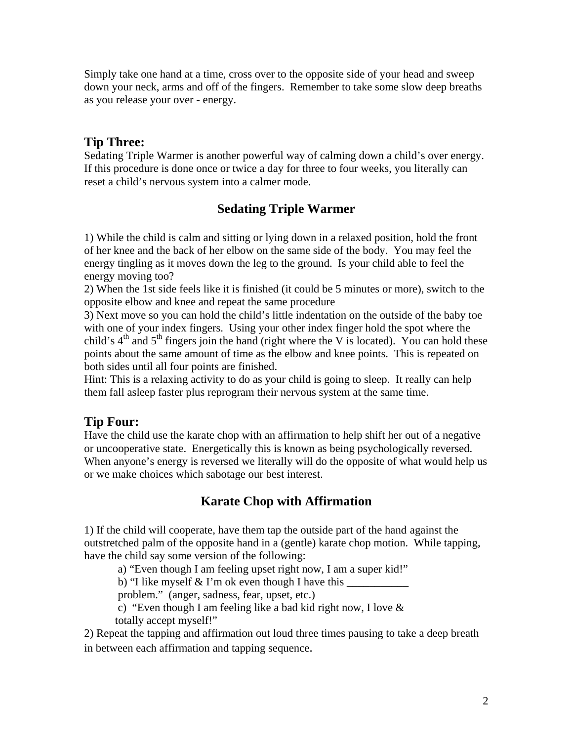Simply take one hand at a time, cross over to the opposite side of your head and sweep down your neck, arms and off of the fingers. Remember to take some slow deep breaths as you release your over - energy.

### **Tip Three:**

Sedating Triple Warmer is another powerful way of calming down a child's over energy. If this procedure is done once or twice a day for three to four weeks, you literally can reset a child's nervous system into a calmer mode.

### **Sedating Triple Warmer**

1) While the child is calm and sitting or lying down in a relaxed position, hold the front of her knee and the back of her elbow on the same side of the body. You may feel the energy tingling as it moves down the leg to the ground. Is your child able to feel the energy moving too?

2) When the 1st side feels like it is finished (it could be 5 minutes or more), switch to the opposite elbow and knee and repeat the same procedure

3) Next move so you can hold the child's little indentation on the outside of the baby toe with one of your index fingers. Using your other index finger hold the spot where the child's  $4<sup>th</sup>$  and  $5<sup>th</sup>$  fingers join the hand (right where the V is located). You can hold these points about the same amount of time as the elbow and knee points. This is repeated on both sides until all four points are finished.

Hint: This is a relaxing activity to do as your child is going to sleep. It really can help them fall asleep faster plus reprogram their nervous system at the same time.

### **Tip Four:**

Have the child use the karate chop with an affirmation to help shift her out of a negative or uncooperative state. Energetically this is known as being psychologically reversed. When anyone's energy is reversed we literally will do the opposite of what would help us or we make choices which sabotage our best interest.

# **Karate Chop with Affirmation**

1) If the child will cooperate, have them tap the outside part of the hand against the outstretched palm of the opposite hand in a (gentle) karate chop motion. While tapping, have the child say some version of the following:

a) "Even though I am feeling upset right now, I am a super kid!"

b) "I like myself  $&$  I'm ok even though I have this

problem." (anger, sadness, fear, upset, etc.)

 c) "Even though I am feeling like a bad kid right now, I love & totally accept myself!"

2) Repeat the tapping and affirmation out loud three times pausing to take a deep breath in between each affirmation and tapping sequence.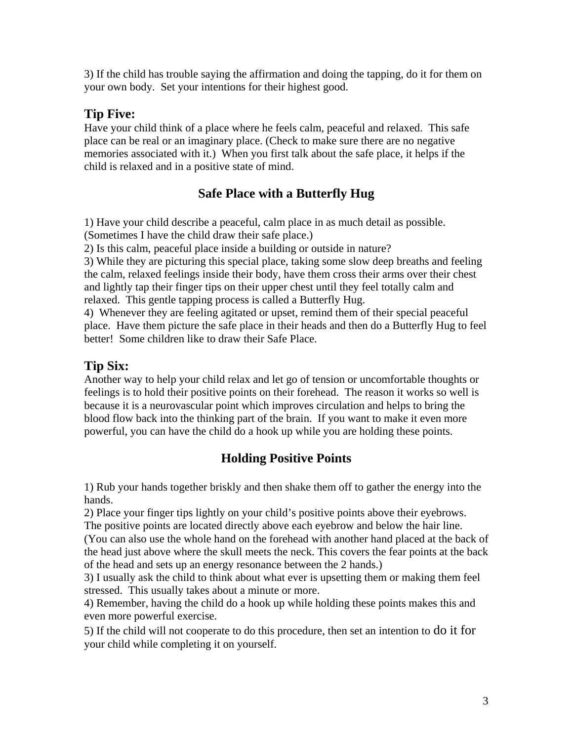3) If the child has trouble saying the affirmation and doing the tapping, do it for them on your own body. Set your intentions for their highest good.

# **Tip Five:**

Have your child think of a place where he feels calm, peaceful and relaxed. This safe place can be real or an imaginary place. (Check to make sure there are no negative memories associated with it.) When you first talk about the safe place, it helps if the child is relaxed and in a positive state of mind.

# **Safe Place with a Butterfly Hug**

1) Have your child describe a peaceful, calm place in as much detail as possible. (Sometimes I have the child draw their safe place.)

2) Is this calm, peaceful place inside a building or outside in nature?

3) While they are picturing this special place, taking some slow deep breaths and feeling the calm, relaxed feelings inside their body, have them cross their arms over their chest and lightly tap their finger tips on their upper chest until they feel totally calm and relaxed. This gentle tapping process is called a Butterfly Hug.

4) Whenever they are feeling agitated or upset, remind them of their special peaceful place. Have them picture the safe place in their heads and then do a Butterfly Hug to feel better! Some children like to draw their Safe Place.

# **Tip Six:**

Another way to help your child relax and let go of tension or uncomfortable thoughts or feelings is to hold their positive points on their forehead. The reason it works so well is because it is a neurovascular point which improves circulation and helps to bring the blood flow back into the thinking part of the brain. If you want to make it even more powerful, you can have the child do a hook up while you are holding these points.

# **Holding Positive Points**

1) Rub your hands together briskly and then shake them off to gather the energy into the hands.

2) Place your finger tips lightly on your child's positive points above their eyebrows.

The positive points are located directly above each eyebrow and below the hair line.

(You can also use the whole hand on the forehead with another hand placed at the back of the head just above where the skull meets the neck. This covers the fear points at the back of the head and sets up an energy resonance between the 2 hands.)

3) I usually ask the child to think about what ever is upsetting them or making them feel stressed. This usually takes about a minute or more.

4) Remember, having the child do a hook up while holding these points makes this and even more powerful exercise.

5) If the child will not cooperate to do this procedure, then set an intention to do it for your child while completing it on yourself.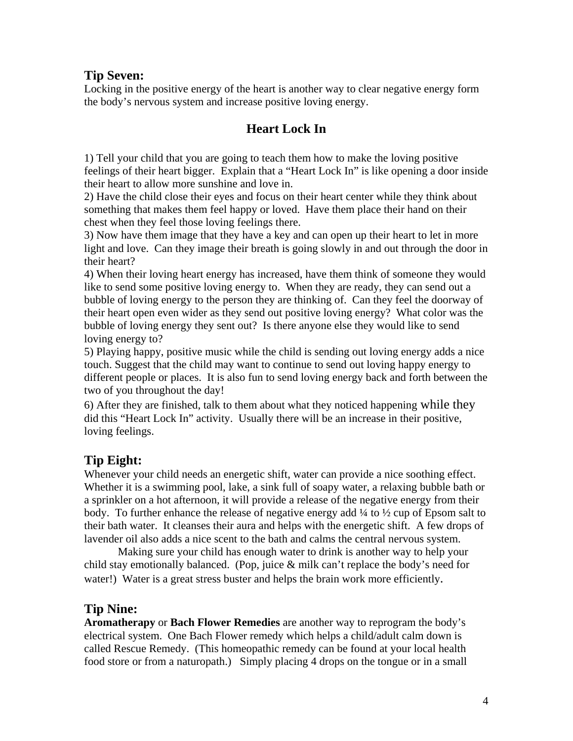### **Tip Seven:**

Locking in the positive energy of the heart is another way to clear negative energy form the body's nervous system and increase positive loving energy.

### **Heart Lock In**

1) Tell your child that you are going to teach them how to make the loving positive feelings of their heart bigger. Explain that a "Heart Lock In" is like opening a door inside their heart to allow more sunshine and love in.

2) Have the child close their eyes and focus on their heart center while they think about something that makes them feel happy or loved. Have them place their hand on their chest when they feel those loving feelings there.

3) Now have them image that they have a key and can open up their heart to let in more light and love. Can they image their breath is going slowly in and out through the door in their heart?

4) When their loving heart energy has increased, have them think of someone they would like to send some positive loving energy to. When they are ready, they can send out a bubble of loving energy to the person they are thinking of. Can they feel the doorway of their heart open even wider as they send out positive loving energy? What color was the bubble of loving energy they sent out? Is there anyone else they would like to send loving energy to?

5) Playing happy, positive music while the child is sending out loving energy adds a nice touch. Suggest that the child may want to continue to send out loving happy energy to different people or places. It is also fun to send loving energy back and forth between the two of you throughout the day!

6) After they are finished, talk to them about what they noticed happening while they did this "Heart Lock In" activity. Usually there will be an increase in their positive, loving feelings.

# **Tip Eight:**

Whenever your child needs an energetic shift, water can provide a nice soothing effect. Whether it is a swimming pool, lake, a sink full of soapy water, a relaxing bubble bath or a sprinkler on a hot afternoon, it will provide a release of the negative energy from their body. To further enhance the release of negative energy add ¼ to ½ cup of Epsom salt to their bath water. It cleanses their aura and helps with the energetic shift. A few drops of lavender oil also adds a nice scent to the bath and calms the central nervous system.

 Making sure your child has enough water to drink is another way to help your child stay emotionally balanced. (Pop, juice & milk can't replace the body's need for water!) Water is a great stress buster and helps the brain work more efficiently.

### **Tip Nine:**

**Aromatherapy** or **Bach Flower Remedies** are another way to reprogram the body's electrical system. One Bach Flower remedy which helps a child/adult calm down is called Rescue Remedy. (This homeopathic remedy can be found at your local health food store or from a naturopath.) Simply placing 4 drops on the tongue or in a small